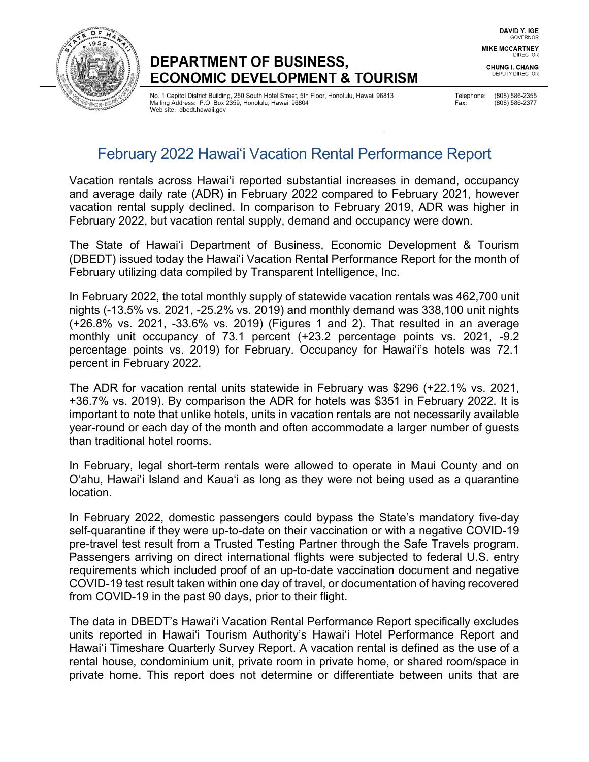

# DEPARTMENT OF BUSINESS, **ECONOMIC DEVELOPMENT & TOURISM**

No. 1 Capitol District Building, 250 South Hotel Street, 5th Floor, Honolulu, Hawaii 96813 Mailing Address: P.O. Box 2359, Honolulu, Hawaii 96804 Web site: dbedt.hawaii.gov

Telephone: (808) 586-2355 Fax: (808) 586-2377

DAVID Y. IGE GOVERNOR **MIKE MCCARTNEY DIRECTOR** 

**CHUNG I. CHANG DEPUTY DIRECTOR** 

# February 2022 Hawai'i Vacation Rental Performance Report

Vacation rentals across Hawaiʻi reported substantial increases in demand, occupancy and average daily rate (ADR) in February 2022 compared to February 2021, however vacation rental supply declined. In comparison to February 2019, ADR was higher in February 2022, but vacation rental supply, demand and occupancy were down.

The State of Hawai'i Department of Business, Economic Development & Tourism (DBEDT) issued today the Hawai'i Vacation Rental Performance Report for the month of February utilizing data compiled by Transparent Intelligence, Inc.

In February 2022, the total monthly supply of statewide vacation rentals was 462,700 unit nights (-13.5% vs. 2021, -25.2% vs. 2019) and monthly demand was 338,100 unit nights (+26.8% vs. 2021, -33.6% vs. 2019) (Figures 1 and 2). That resulted in an average monthly unit occupancy of 73.1 percent (+23.2 percentage points vs. 2021, -9.2 percentage points vs. 2019) for February. Occupancy for Hawai'i's hotels was 72.1 percent in February 2022.

The ADR for vacation rental units statewide in February was \$296 (+22.1% vs. 2021, +36.7% vs. 2019). By comparison the ADR for hotels was \$351 in February 2022. It is important to note that unlike hotels, units in vacation rentals are not necessarily available year-round or each day of the month and often accommodate a larger number of guests than traditional hotel rooms.

In February, legal short-term rentals were allowed to operate in Maui County and on O'ahu, Hawai'i Island and Kaua'i as long as they were not being used as a quarantine location.

In February 2022, domestic passengers could bypass the State's mandatory five-day self-quarantine if they were up-to-date on their vaccination or with a negative COVID-19 pre-travel test result from a Trusted Testing Partner through the Safe Travels program. Passengers arriving on direct international flights were subjected to federal U.S. entry requirements which included proof of an up-to-date vaccination document and negative COVID-19 test result taken within one day of travel, or documentation of having recovered from COVID-19 in the past 90 days, prior to their flight.

The data in DBEDT's Hawai'i Vacation Rental Performance Report specifically excludes units reported in Hawai'i Tourism Authority's Hawai'i Hotel Performance Report and Hawai'i Timeshare Quarterly Survey Report. A vacation rental is defined as the use of a rental house, condominium unit, private room in private home, or shared room/space in private home. This report does not determine or differentiate between units that are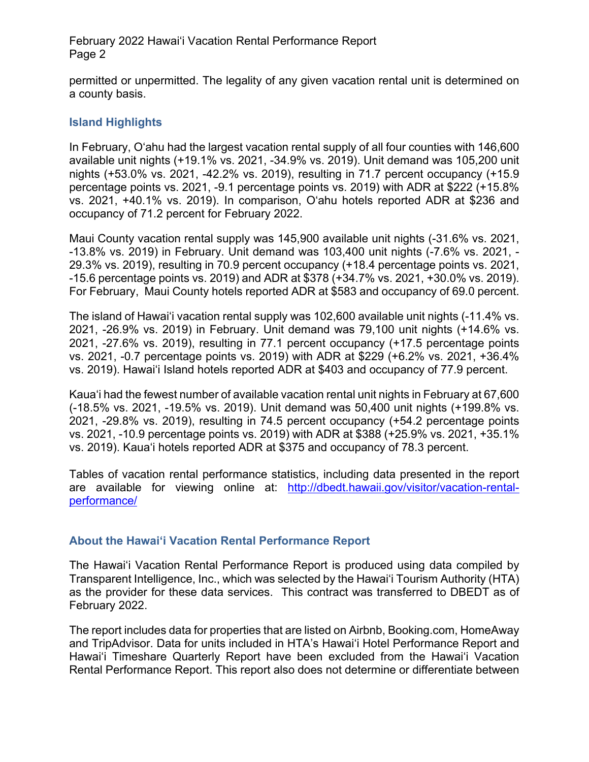February 2022 Hawai'i Vacation Rental Performance Report Page 2

permitted or unpermitted. The legality of any given vacation rental unit is determined on a county basis.

## **Island Highlights**

In February, O'ahu had the largest vacation rental supply of all four counties with 146,600 available unit nights (+19.1% vs. 2021, -34.9% vs. 2019). Unit demand was 105,200 unit nights (+53.0% vs. 2021, -42.2% vs. 2019), resulting in 71.7 percent occupancy (+15.9 percentage points vs. 2021, -9.1 percentage points vs. 2019) with ADR at \$222 (+15.8% vs. 2021, +40.1% vs. 2019). In comparison, O'ahu hotels reported ADR at \$236 and occupancy of 71.2 percent for February 2022.

Maui County vacation rental supply was 145,900 available unit nights (-31.6% vs. 2021, -13.8% vs. 2019) in February. Unit demand was 103,400 unit nights (-7.6% vs. 2021, - 29.3% vs. 2019), resulting in 70.9 percent occupancy (+18.4 percentage points vs. 2021, -15.6 percentage points vs. 2019) and ADR at \$378 (+34.7% vs. 2021, +30.0% vs. 2019). For February, Maui County hotels reported ADR at \$583 and occupancy of 69.0 percent.

The island of Hawai'i vacation rental supply was 102,600 available unit nights (-11.4% vs. 2021, -26.9% vs. 2019) in February. Unit demand was 79,100 unit nights (+14.6% vs. 2021, -27.6% vs. 2019), resulting in 77.1 percent occupancy (+17.5 percentage points vs. 2021, -0.7 percentage points vs. 2019) with ADR at \$229 (+6.2% vs. 2021, +36.4% vs. 2019). Hawai'i Island hotels reported ADR at \$403 and occupancy of 77.9 percent.

Kaua'i had the fewest number of available vacation rental unit nights in February at 67,600 (-18.5% vs. 2021, -19.5% vs. 2019). Unit demand was 50,400 unit nights (+199.8% vs. 2021, -29.8% vs. 2019), resulting in 74.5 percent occupancy (+54.2 percentage points vs. 2021, -10.9 percentage points vs. 2019) with ADR at \$388 (+25.9% vs. 2021, +35.1% vs. 2019). Kaua'i hotels reported ADR at \$375 and occupancy of 78.3 percent.

Tables of vacation rental performance statistics, including data presented in the report are available for viewing online at: [http://dbedt.hawaii.gov/visitor/vacation-rental](http://dbedt.hawaii.gov/visitor/vacation-rental-performance/)[performance/](http://dbedt.hawaii.gov/visitor/vacation-rental-performance/)

### **About the Hawai'i Vacation Rental Performance Report**

The Hawai'i Vacation Rental Performance Report is produced using data compiled by Transparent Intelligence, Inc., which was selected by the Hawai'i Tourism Authority (HTA) as the provider for these data services. This contract was transferred to DBEDT as of February 2022.

The report includes data for properties that are listed on Airbnb, Booking.com, HomeAway and TripAdvisor. Data for units included in HTA's Hawai'i Hotel Performance Report and Hawai'i Timeshare Quarterly Report have been excluded from the Hawai'i Vacation Rental Performance Report. This report also does not determine or differentiate between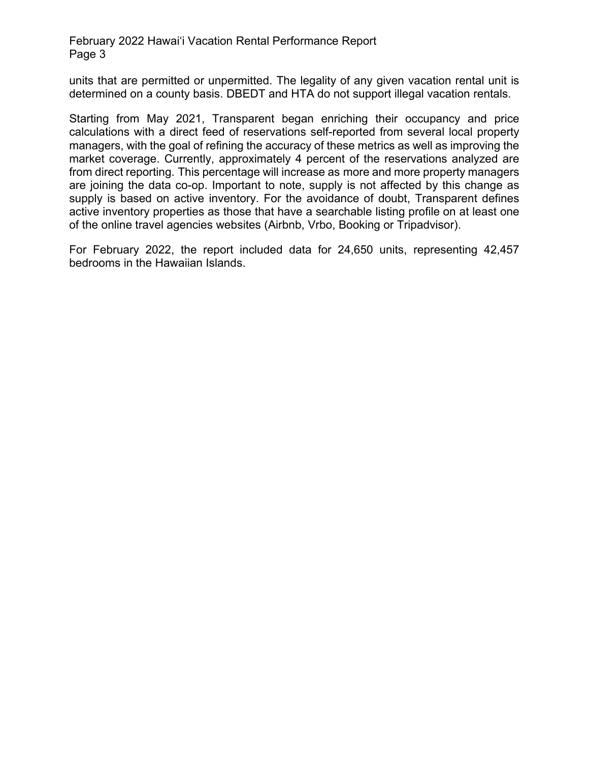#### February 2022 Hawai'i Vacation Rental Performance Report Page 3

units that are permitted or unpermitted. The legality of any given vacation rental unit is determined on a county basis. DBEDT and HTA do not support illegal vacation rentals.

Starting from May 2021, Transparent began enriching their occupancy and price calculations with a direct feed of reservations self-reported from several local property managers, with the goal of refining the accuracy of these metrics as well as improving the market coverage. Currently, approximately 4 percent of the reservations analyzed are from direct reporting. This percentage will increase as more and more property managers are joining the data co-op. Important to note, supply is not affected by this change as supply is based on active inventory. For the avoidance of doubt, Transparent defines active inventory properties as those that have a searchable listing profile on at least one of the online travel agencies websites (Airbnb, Vrbo, Booking or Tripadvisor).

For February 2022, the report included data for 24,650 units, representing 42,457 bedrooms in the Hawaiian Islands.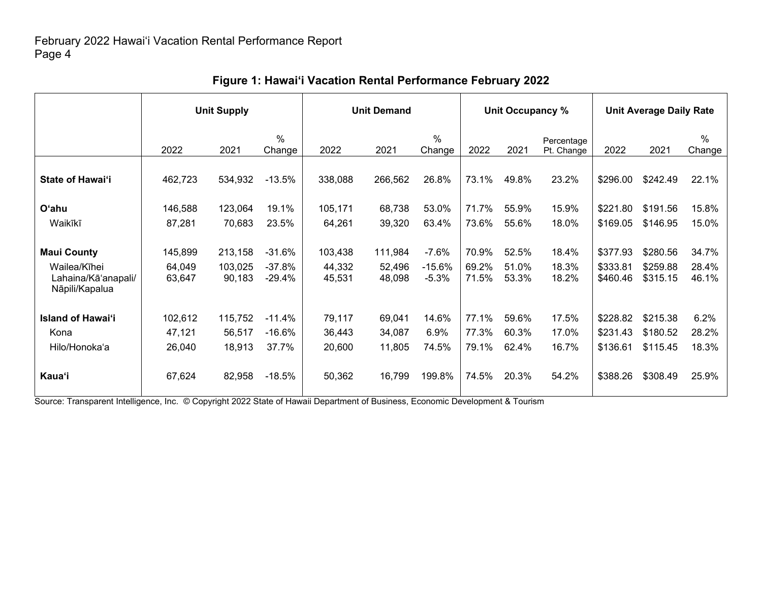|                                                       | <b>Unit Supply</b> |                   |                      | <b>Unit Demand</b> |                  |                         |                | Unit Occupancy % |                          | <b>Unit Average Daily Rate</b> |                      |                |
|-------------------------------------------------------|--------------------|-------------------|----------------------|--------------------|------------------|-------------------------|----------------|------------------|--------------------------|--------------------------------|----------------------|----------------|
|                                                       | 2022               | 2021              | $\%$<br>Change       | 2022               | 2021             | $\frac{0}{0}$<br>Change | 2022           | 2021             | Percentage<br>Pt. Change | 2022                           | 2021                 | $\%$<br>Change |
| <b>State of Hawai'i</b>                               | 462,723            | 534,932           | $-13.5%$             | 338,088            | 266,562          | 26.8%                   | 73.1%          | 49.8%            | 23.2%                    | \$296.00                       | \$242.49             | 22.1%          |
| <b>O'ahu</b>                                          | 146,588            | 123,064           | 19.1%                | 105,171            | 68,738           | 53.0%                   | 71.7%          | 55.9%            | 15.9%                    | \$221.80                       | \$191.56             | 15.8%          |
| Waikīkī                                               | 87,281             | 70,683            | 23.5%                | 64,261             | 39,320           | 63.4%                   | 73.6%          | 55.6%            | 18.0%                    | \$169.05                       | \$146.95             | 15.0%          |
| <b>Maui County</b>                                    | 145,899            | 213,158           | $-31.6%$             | 103,438            | 111,984          | $-7.6%$                 | 70.9%          | 52.5%            | 18.4%                    | \$377.93                       | \$280.56             | 34.7%          |
| Wailea/Kīhei<br>Lahaina/Kā'anapali/<br>Nāpili/Kapalua | 64,049<br>63,647   | 103,025<br>90,183 | $-37.8%$<br>$-29.4%$ | 44,332<br>45,531   | 52,496<br>48,098 | $-15.6%$<br>$-5.3%$     | 69.2%<br>71.5% | 51.0%<br>53.3%   | 18.3%<br>18.2%           | \$333.81<br>\$460.46           | \$259.88<br>\$315.15 | 28.4%<br>46.1% |
| <b>Island of Hawai'i</b>                              | 102,612            | 115,752           | -11.4%               | 79,117             | 69,041           | 14.6%                   | 77.1%          | 59.6%            | 17.5%                    | \$228.82                       | \$215.38             | 6.2%           |
| Kona                                                  | 47,121             | 56,517            | $-16.6%$             | 36,443             | 34,087           | 6.9%                    | 77.3%          | 60.3%            | 17.0%                    | \$231.43                       | \$180.52             | 28.2%          |
| Hilo/Honoka'a                                         | 26,040             | 18,913            | 37.7%                | 20,600             | 11,805           | 74.5%                   | 79.1%          | 62.4%            | 16.7%                    | \$136.61                       | \$115.45             | 18.3%          |
| <b>Kaua'i</b>                                         | 67,624             | 82,958            | $-18.5%$             | 50,362             | 16,799           | 199.8%                  | 74.5%          | 20.3%            | 54.2%                    | \$388.26                       | \$308.49             | 25.9%          |

# **Figure 1: Hawai'i Vacation Rental Performance February 2022**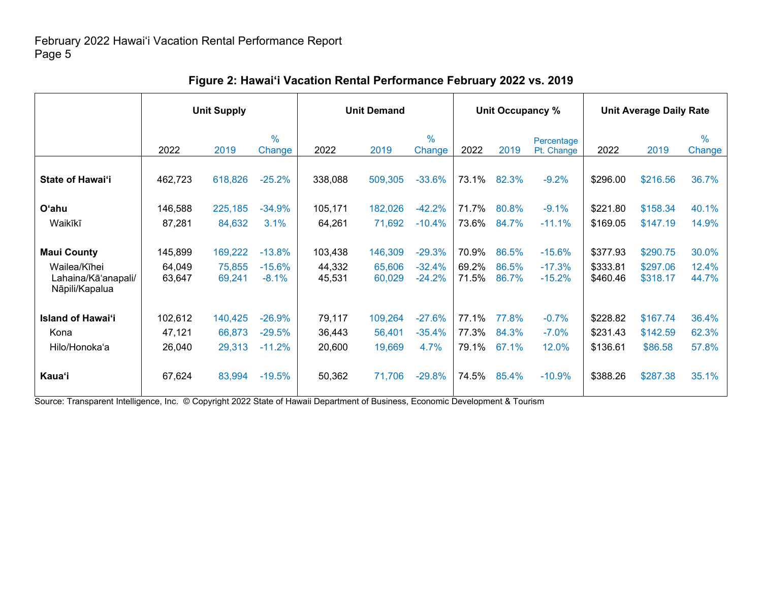|                                                                             | <b>Unit Supply</b>          |                             |                                  | <b>Unit Demand</b>          |                             |                                  |                         | Unit Occupancy %        |                                  | <b>Unit Average Daily Rate</b>   |                                  |                         |
|-----------------------------------------------------------------------------|-----------------------------|-----------------------------|----------------------------------|-----------------------------|-----------------------------|----------------------------------|-------------------------|-------------------------|----------------------------------|----------------------------------|----------------------------------|-------------------------|
|                                                                             | 2022                        | 2019                        | $\frac{0}{0}$<br>Change          | 2022                        | 2019                        | $\%$<br>Change                   | 2022                    | 2019                    | Percentage<br>Pt. Change         | 2022                             | 2019                             | $\frac{0}{0}$<br>Change |
| <b>State of Hawai'i</b>                                                     | 462,723                     | 618,826                     | $-25.2%$                         | 338,088                     | 509,305                     | $-33.6%$                         | 73.1%                   | 82.3%                   | $-9.2%$                          | \$296.00                         | \$216.56                         | 36.7%                   |
| <b>O'ahu</b><br>Waikīkī                                                     | 146,588<br>87,281           | 225,185<br>84,632           | $-34.9%$<br>3.1%                 | 105,171<br>64,261           | 182,026<br>71,692           | $-42.2%$<br>$-10.4%$             | 71.7%<br>73.6%          | 80.8%<br>84.7%          | $-9.1%$<br>$-11.1%$              | \$221.80<br>\$169.05             | \$158.34<br>\$147.19             | 40.1%<br>14.9%          |
| <b>Maui County</b><br>Wailea/Kīhei<br>Lahaina/Kā'anapali/<br>Nāpili/Kapalua | 145,899<br>64,049<br>63,647 | 169,222<br>75,855<br>69,241 | $-13.8%$<br>$-15.6%$<br>$-8.1%$  | 103,438<br>44,332<br>45,531 | 146,309<br>65,606<br>60,029 | $-29.3%$<br>$-32.4%$<br>$-24.2%$ | 70.9%<br>69.2%<br>71.5% | 86.5%<br>86.5%<br>86.7% | $-15.6%$<br>$-17.3%$<br>$-15.2%$ | \$377.93<br>\$333.81<br>\$460.46 | \$290.75<br>\$297.06<br>\$318.17 | 30.0%<br>12.4%<br>44.7% |
| <b>Island of Hawai'i</b><br>Kona<br>Hilo/Honoka'a                           | 102,612<br>47,121<br>26,040 | 140,425<br>66,873<br>29,313 | $-26.9%$<br>$-29.5%$<br>$-11.2%$ | 79,117<br>36,443<br>20,600  | 109,264<br>56,401<br>19,669 | $-27.6%$<br>$-35.4%$<br>4.7%     | 77.1%<br>77.3%<br>79.1% | 77.8%<br>84.3%<br>67.1% | $-0.7%$<br>$-7.0%$<br>12.0%      | \$228.82<br>\$231.43<br>\$136.61 | \$167.74<br>\$142.59<br>\$86.58  | 36.4%<br>62.3%<br>57.8% |
| Kauaʻi                                                                      | 67,624                      | 83,994                      | $-19.5%$                         | 50,362                      | 71,706                      | $-29.8%$                         | 74.5%                   | 85.4%                   | $-10.9%$                         | \$388.26                         | \$287.38                         | 35.1%                   |

# **Figure 2: Hawai'i Vacation Rental Performance February 2022 vs. 2019**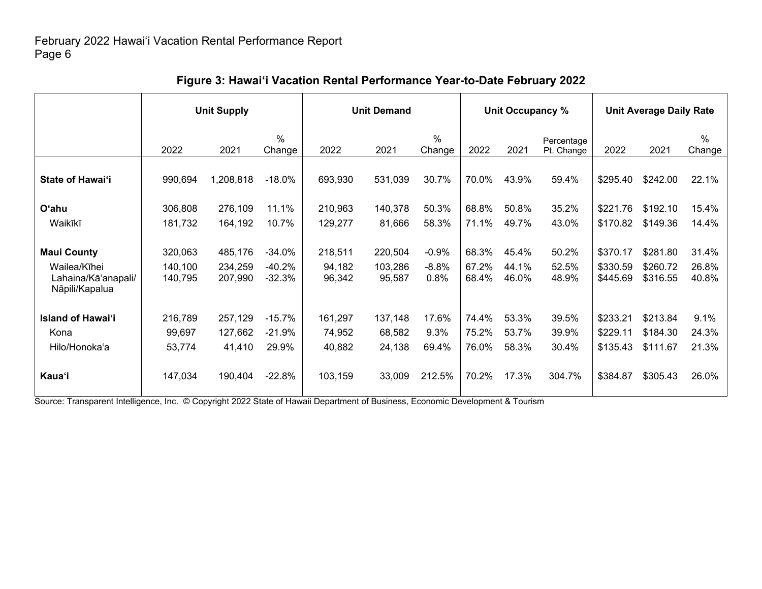|                                                       | <b>Unit Supply</b> |                    |                         |                  | <b>Unit Demand</b> |                 |                | Unit Occupancy % |                          | <b>Unit Average Daily Rate</b> |                      |                |
|-------------------------------------------------------|--------------------|--------------------|-------------------------|------------------|--------------------|-----------------|----------------|------------------|--------------------------|--------------------------------|----------------------|----------------|
|                                                       | 2022               | 2021               | $\frac{0}{0}$<br>Change | 2022             | 2021               | $\%$<br>Change  | 2022           | 2021             | Percentage<br>Pt. Change | 2022                           | 2021                 | $\%$<br>Change |
| <b>State of Hawai'i</b>                               | 990,694            | 1,208,818          | $-18.0\%$               | 693,930          | 531,039            | 30.7%           | 70.0%          | 43.9%            | 59.4%                    | \$295.40                       | \$242.00             | 22.1%          |
| O'ahu                                                 | 306,808            | 276,109            | 11.1%                   | 210,963          | 140,378            | 50.3%           | 68.8%          | 50.8%            | 35.2%                    | \$221.76                       | \$192.10             | 15.4%          |
| Waikīkī                                               | 181,732            | 164,192            | 10.7%                   | 129,277          | 81,666             | 58.3%           | 71.1%          | 49.7%            | 43.0%                    | \$170.82                       | \$149.36             | 14.4%          |
| <b>Maui County</b>                                    | 320,063            | 485,176            | $-34.0%$                | 218,511          | 220,504            | $-0.9%$         | 68.3%          | 45.4%            | 50.2%                    | \$370.17                       | \$281.80             | 31.4%          |
| Wailea/Kīhei<br>Lahaina/Kā'anapali/<br>Nāpili/Kapalua | 140,100<br>140,795 | 234,259<br>207,990 | $-40.2%$<br>$-32.3%$    | 94,182<br>96,342 | 103,286<br>95,587  | $-8.8%$<br>0.8% | 67.2%<br>68.4% | 44.1%<br>46.0%   | 52.5%<br>48.9%           | \$330.59<br>\$445.69           | \$260.72<br>\$316.55 | 26.8%<br>40.8% |
| <b>Island of Hawai'i</b>                              | 216,789            | 257,129            | $-15.7%$                | 161,297          | 137,148            | 17.6%           | 74.4%          | 53.3%            | 39.5%                    | \$233.21                       | \$213.84             | 9.1%           |
| Kona                                                  | 99,697             | 127,662            | $-21.9%$                | 74,952           | 68,582             | 9.3%            | 75.2%          | 53.7%            | 39.9%                    | \$229.11                       | \$184.30             | 24.3%          |
| Hilo/Honoka'a                                         | 53,774             | 41,410             | 29.9%                   | 40,882           | 24,138             | 69.4%           | 76.0%          | 58.3%            | 30.4%                    | \$135.43                       | \$111.67             | 21.3%          |
| Kauaʻi                                                | 147,034            | 190,404            | $-22.8%$                | 103,159          | 33,009             | 212.5%          | 70.2%          | 17.3%            | 304.7%                   | \$384.87                       | \$305.43             | 26.0%          |

# **Figure 3: Hawai'i Vacation Rental Performance Year-to-Date February 2022**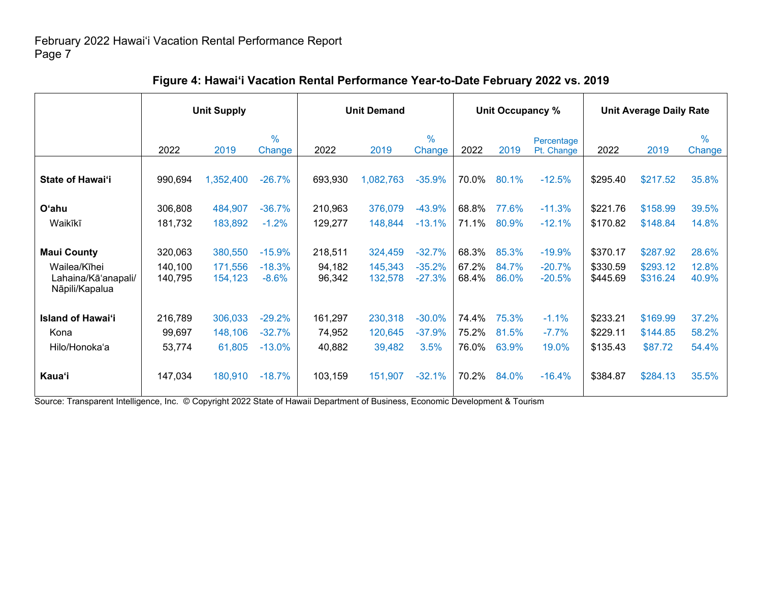|                                                                             | <b>Unit Supply</b>            |                               |                                  | <b>Unit Demand</b>          |                               |                                  | Unit Occupancy %        |                         |                                  | <b>Unit Average Daily Rate</b>   |                                  |                         |
|-----------------------------------------------------------------------------|-------------------------------|-------------------------------|----------------------------------|-----------------------------|-------------------------------|----------------------------------|-------------------------|-------------------------|----------------------------------|----------------------------------|----------------------------------|-------------------------|
|                                                                             | 2022                          | 2019                          | $\frac{0}{0}$<br>Change          | 2022                        | 2019                          | $\frac{0}{0}$<br>Change          | 2022                    | 2019                    | Percentage<br>Pt. Change         | 2022                             | 2019                             | $\%$<br>Change          |
| State of Hawai'i                                                            | 990,694                       | 1,352,400                     | $-26.7%$                         | 693,930                     | 1,082,763                     | $-35.9%$                         | 70.0%                   | 80.1%                   | $-12.5%$                         | \$295.40                         | \$217.52                         | 35.8%                   |
| <b>O'ahu</b>                                                                | 306,808                       | 484,907                       | $-36.7%$                         | 210,963                     | 376,079                       | $-43.9%$                         | 68.8%                   | 77.6%                   | $-11.3%$                         | \$221.76                         | \$158.99                         | 39.5%                   |
| Waikīkī                                                                     | 181,732                       | 183,892                       | $-1.2%$                          | 129,277                     | 148,844                       | $-13.1%$                         | 71.1%                   | 80.9%                   | $-12.1%$                         | \$170.82                         | \$148.84                         | 14.8%                   |
| <b>Maui County</b><br>Wailea/Kīhei<br>Lahaina/Kā'anapali/<br>Nāpili/Kapalua | 320,063<br>140,100<br>140,795 | 380,550<br>171,556<br>154,123 | $-15.9%$<br>$-18.3%$<br>$-8.6%$  | 218,511<br>94,182<br>96,342 | 324,459<br>145,343<br>132,578 | $-32.7%$<br>$-35.2%$<br>$-27.3%$ | 68.3%<br>67.2%<br>68.4% | 85.3%<br>84.7%<br>86.0% | $-19.9%$<br>$-20.7%$<br>$-20.5%$ | \$370.17<br>\$330.59<br>\$445.69 | \$287.92<br>\$293.12<br>\$316.24 | 28.6%<br>12.8%<br>40.9% |
| <b>Island of Hawai'i</b><br>Kona<br>Hilo/Honoka'a                           | 216,789<br>99,697<br>53,774   | 306,033<br>148,106<br>61,805  | $-29.2%$<br>$-32.7%$<br>$-13.0%$ | 161,297<br>74,952<br>40,882 | 230,318<br>120,645<br>39,482  | $-30.0%$<br>$-37.9%$<br>3.5%     | 74.4%<br>75.2%<br>76.0% | 75.3%<br>81.5%<br>63.9% | $-1.1%$<br>$-7.7%$<br>19.0%      | \$233.21<br>\$229.11<br>\$135.43 | \$169.99<br>\$144.85<br>\$87.72  | 37.2%<br>58.2%<br>54.4% |
| <b>Kaua</b> 'i                                                              | 147,034                       | 180,910                       | $-18.7%$                         | 103,159                     | 151,907                       | $-32.1%$                         | 70.2%                   | 84.0%                   | $-16.4%$                         | \$384.87                         | \$284.13                         | 35.5%                   |

# **Figure 4: Hawai'i Vacation Rental Performance Year-to-Date February 2022 vs. 2019**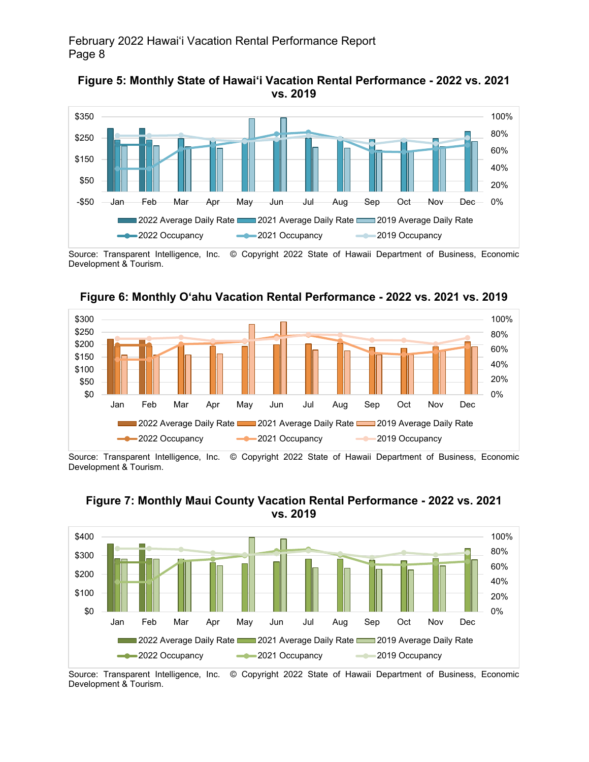



Source: Transparent Intelligence, Inc. © Copyright 2022 State of Hawaii Department of Business, Economic Development & Tourism.



**Figure 6: Monthly O'ahu Vacation Rental Performance - 2022 vs. 2021 vs. 2019**

Source: Transparent Intelligence, Inc. © Copyright 2022 State of Hawaii Department of Business, Economic Development & Tourism.



### **Figure 7: Monthly Maui County Vacation Rental Performance - 2022 vs. 2021 vs. 2019**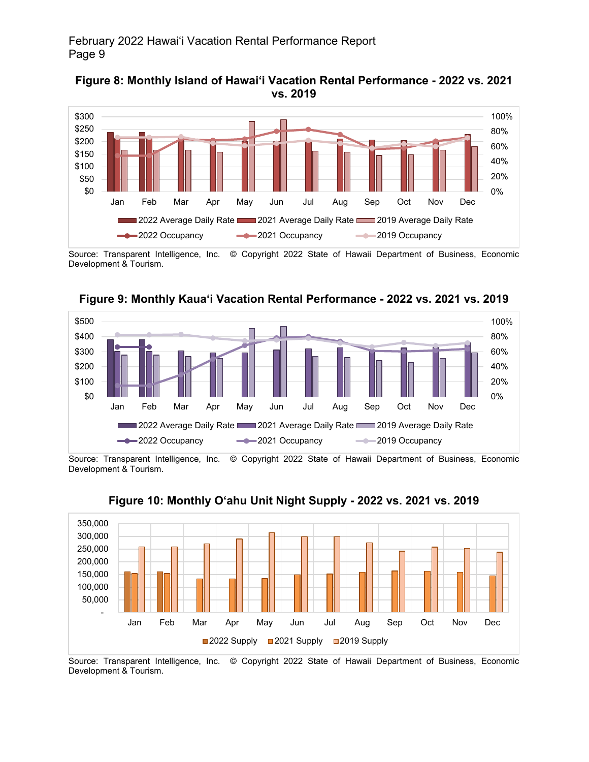



Source: Transparent Intelligence, Inc. © Copyright 2022 State of Hawaii Department of Business, Economic Development & Tourism.



**Figure 9: Monthly Kaua'i Vacation Rental Performance - 2022 vs. 2021 vs. 2019**

Source: Transparent Intelligence, Inc. © Copyright 2022 State of Hawaii Department of Business, Economic Development & Tourism.